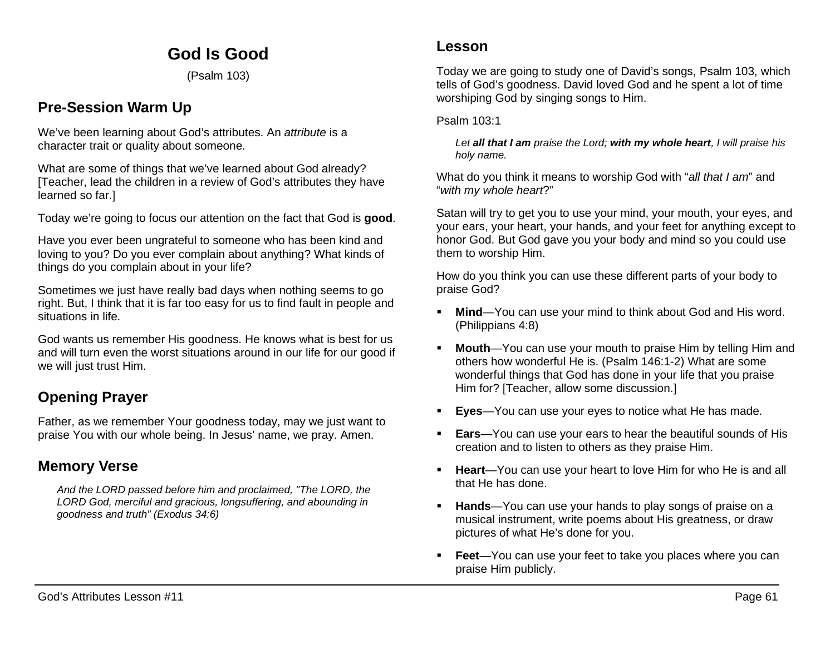# **God Is Good**

(Psalm 103)

### **Pre-Session Warm Up**

We've been learning about God's attributes. An *attribute* is a character trait or quality about someone.

What are some of things that we've learned about God already? [Teacher, lead the children in a review of God's attributes they have learned so far.]

Today we're going to focus our attention on the fact that God is **good**.

Have you ever been ungrateful to someone who has been kind and loving to you? Do you ever complain about anything? What kinds of things do you complain about in your life?

Sometimes we just have really bad days when nothing seems to go right. But, I think that it is far too easy for us to find fault in people and situations in life.

God wants us remember His goodness. He knows what is best for us and will turn even the worst situations around in our life for our good if we will just trust Him.

## **Opening Prayer**

Father, as we remember Your goodness today, may we just want to praise You with our whole being. In Jesus' name, we pray. Amen.

### **Memory Verse**

*And the LORD passed before him and proclaimed, "The LORD, the LORD God, merciful and gracious, longsuffering, and abounding in goodness and truth" (Exodus 34:6)*

Today we are going to study one of David's songs, Psalm 103, which tells of God's goodness. David loved God and he spent a lot of time worshiping God by singing songs to Him.

#### Psalm 103:1

*Let all that I am praise the Lord; with my whole heart, I will praise his holy name.* 

What do you think it means to worship God with "*all that I am*" and "*with my whole heart*?"

Satan will try to get you to use your mind, your mouth, your eyes, and your ears, your heart, your hands, and your feet for anything except to honor God. But God gave you your body and mind so you could use them to worship Him.

How do you think you can use these different parts of your body to praise God?

- **Mind**—You can use your mind to think about God and His word. (Philippians 4:8)
- **Mouth**—You can use your mouth to praise Him by telling Him and others how wonderful He is. (Psalm 146:1-2) What are some wonderful things that God has done in your life that you praise Him for? [Teacher, allow some discussion.]
- **Eyes**—You can use your eyes to notice what He has made.
- **Ears**—You can use your ears to hear the beautiful sounds of His creation and to listen to others as they praise Him.
- **Heart**—You can use your heart to love Him for who He is and all that He has done.
- **Hands**—You can use your hands to play songs of praise on a musical instrument, write poems about His greatness, or draw pictures of what He's done for you.
- **Feet**—You can use your feet to take you places where you can praise Him publicly.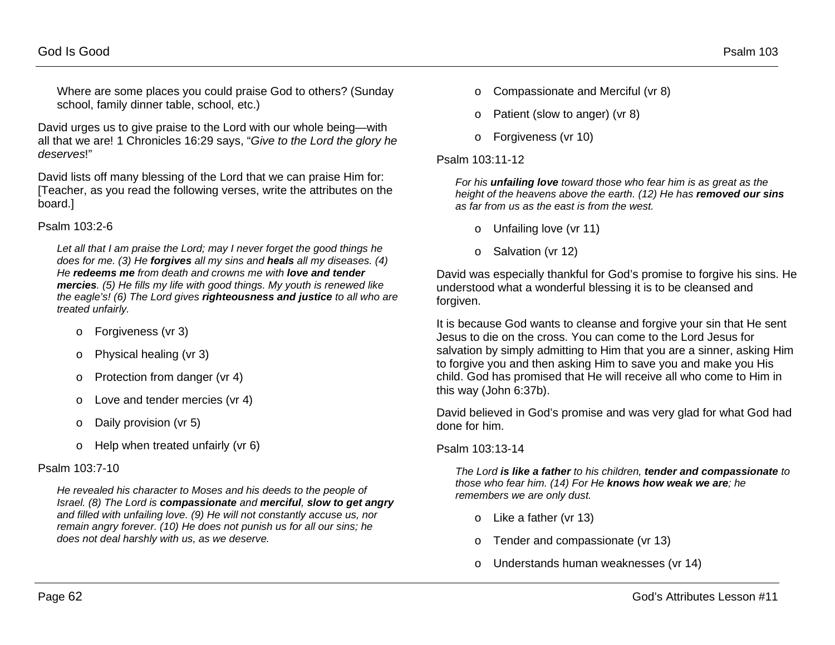Where are some places you could praise God to others? (Sunday school, family dinner table, school, etc.)

David urges us to give praise to the Lord with our whole being—with all that we are! 1 Chronicles 16:29 says, "*Give to the Lord the glory he deserves*!"

David lists off many blessing of the Lord that we can praise Him for: [Teacher, as you read the following verses, write the attributes on the board.]

#### Psalm 103:2-6

*Let all that I am praise the Lord; may I never forget the good things he does for me. (3) He forgives all my sins and heals all my diseases. (4) He redeems me from death and crowns me with love and tender mercies. (5) He fills my life with good things. My youth is renewed like the eagle's! (6) The Lord gives righteousness and justice to all who are treated unfairly.* 

- o Forgiveness (vr 3)
- o Physical healing (vr 3)
- o Protection from danger (vr 4)
- o Love and tender mercies (vr 4)
- o Daily provision (vr 5)
- o Help when treated unfairly (vr 6)

#### Psalm 103:7-10

*He revealed his character to Moses and his deeds to the people of Israel. (8) The Lord is compassionate and merciful, slow to get angry and filled with unfailing love. (9) He will not constantly accuse us, nor remain angry forever. (10) He does not punish us for all our sins; he does not deal harshly with us, as we deserve.*

- o Compassionate and Merciful (vr 8)
- o Patient (slow to anger) (vr 8)
- o Forgiveness (vr 10)

#### Psalm 103:11-12

*For his unfailing love toward those who fear him is as great as the height of the heavens above the earth. (12) He has removed our sins as far from us as the east is from the west.*

- o Unfailing love (vr 11)
- o Salvation (vr 12)

David was especially thankful for God's promise to forgive his sins. He understood what a wonderful blessing it is to be cleansed and forgiven.

It is because God wants to cleanse and forgive your sin that He sent Jesus to die on the cross. You can come to the Lord Jesus for salvation by simply admitting to Him that you are a sinner, asking Him to forgive you and then asking Him to save you and make you His child. God has promised that He will receive all who come to Him in this way (John 6:37b).

David believed in God's promise and was very glad for what God had done for him.

#### Psalm 103:13-14

*The Lord is like a father to his children, tender and compassionate to those who fear him. (14) For He knows how weak we are; he remembers we are only dust.* 

- o Like a father (vr 13)
- o Tender and compassionate (vr 13)
- o Understands human weaknesses (vr 14)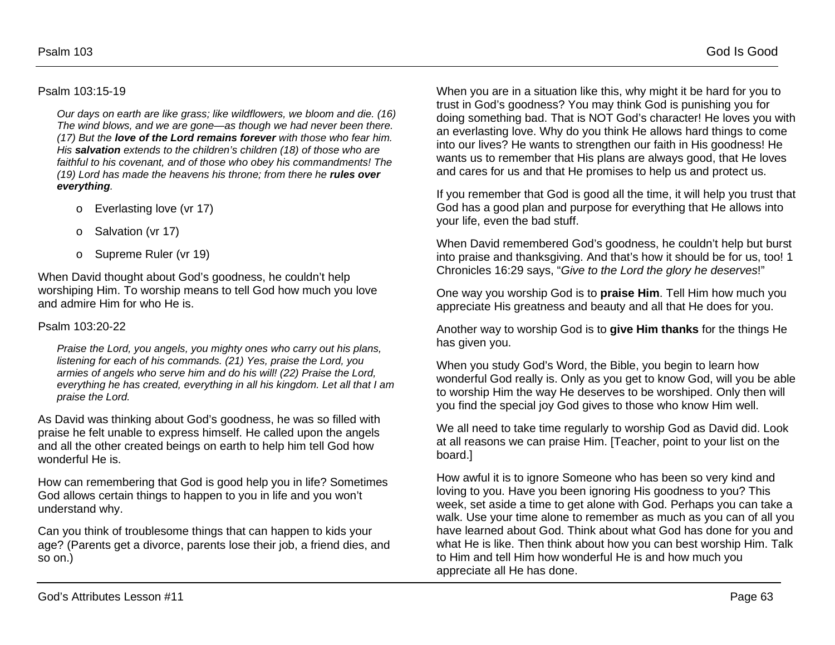#### Psalm 103:15-19

*Our days on earth are like grass; like wildflowers, we bloom and die. (16) The wind blows, and we are gone—as though we had never been there. (17) But the love of the Lord remains forever with those who fear him. His salvation extends to the children's children (18) of those who are faithful to his covenant, and of those who obey his commandments! The (19) Lord has made the heavens his throne; from there he rules over everything.*

- o Everlasting love (vr 17)
- o Salvation (vr 17)
- o Supreme Ruler (vr 19)

When David thought about God's goodness, he couldn't help worshiping Him. To worship means to tell God how much you love and admire Him for who He is.

#### Psalm 103:20-22

*Praise the Lord, you angels, you mighty ones who carry out his plans, listening for each of his commands. (21) Yes, praise the Lord, you armies of angels who serve him and do his will! (22) Praise the Lord, everything he has created, everything in all his kingdom. Let all that I am praise the Lord.*

As David was thinking about God's goodness, he was so filled with praise he felt unable to express himself. He called upon the angels and all the other created beings on earth to help him tell God how wonderful He is.

How can remembering that God is good help you in life? Sometimes God allows certain things to happen to you in life and you won't understand why.

Can you think of troublesome things that can happen to kids your age? (Parents get a divorce, parents lose their job, a friend dies, and so on.)

When you are in a situation like this, why might it be hard for you to trust in God's goodness? You may think God is punishing you for doing something bad. That is NOT God's character! He loves you with an everlasting love. Why do you think He allows hard things to come into our lives? He wants to strengthen our faith in His goodness! He wants us to remember that His plans are always good, that He loves and cares for us and that He promises to help us and protect us.

If you remember that God is good all the time, it will help you trust that God has a good plan and purpose for everything that He allows into your life, even the bad stuff.

When David remembered God's goodness, he couldn't help but burst into praise and thanksgiving. And that's how it should be for us, too! 1 Chronicles 16:29 says, "*Give to the Lord the glory he deserves*!"

One way you worship God is to **praise Him**. Tell Him how much you appreciate His greatness and beauty and all that He does for you.

Another way to worship God is to **give Him thanks** for the things He has given you.

When you study God's Word, the Bible, you begin to learn how wonderful God really is. Only as you get to know God, will you be able to worship Him the way He deserves to be worshiped. Only then will you find the special joy God gives to those who know Him well.

We all need to take time regularly to worship God as David did. Look at all reasons we can praise Him. [Teacher, point to your list on the board.]

How awful it is to ignore Someone who has been so very kind and loving to you. Have you been ignoring His goodness to you? This week, set aside a time to get alone with God. Perhaps you can take a walk. Use your time alone to remember as much as you can of all you have learned about God. Think about what God has done for you and what He is like. Then think about how you can best worship Him. Talk to Him and tell Him how wonderful He is and how much you appreciate all He has done.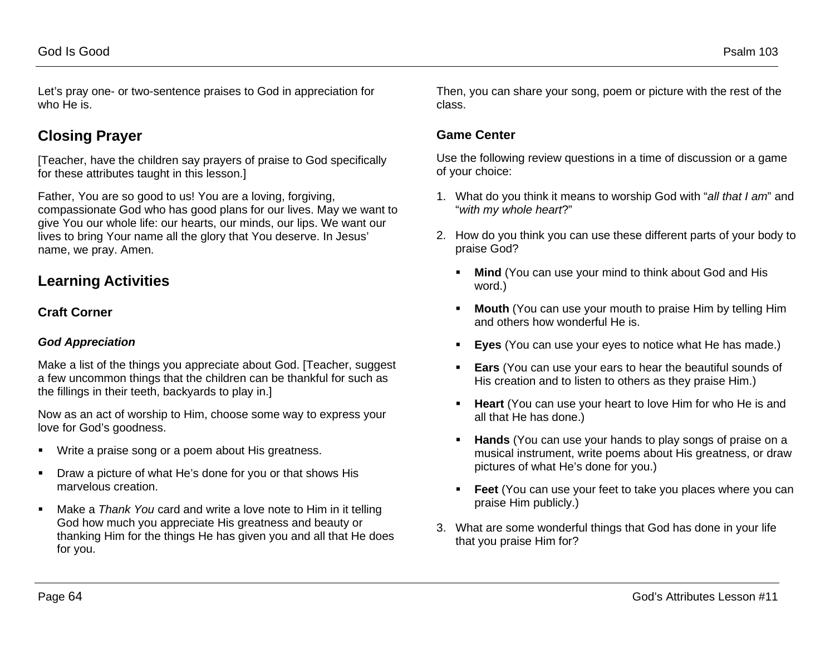Let's pray one- or two-sentence praises to God in appreciation for who He is.

## **Closing Prayer**

[Teacher, have the children say prayers of praise to God specifically for these attributes taught in this lesson.]

Father, You are so good to us! You are a loving, forgiving, compassionate God who has good plans for our lives. May we want to give You our whole life: our hearts, our minds, our lips. We want our lives to bring Your name all the glory that You deserve. In Jesus' name, we pray. Amen.

## **Learning Activities**

### **Craft Corner**

### *God Appreciation*

Make a list of the things you appreciate about God. [Teacher, suggest a few uncommon things that the children can be thankful for such as the fillings in their teeth, backyards to play in.]

Now as an act of worship to Him, choose some way to express your love for God's goodness.

- **Write a praise song or a poem about His greatness.**
- **•** Draw a picture of what He's done for you or that shows His marvelous creation.
- Make a *Thank You* card and write a love note to Him in it telling God how much you appreciate His greatness and beauty or thanking Him for the things He has given you and all that He does for you.

Then, you can share your song, poem or picture with the rest of the class.

### **Game Center**

Use the following review questions in a time of discussion or a game of your choice:

- 1. What do you think it means to worship God with "*all that I am*" and "*with my whole heart*?"
- 2. How do you think you can use these different parts of your body to praise God?
	- **Mind** (You can use your mind to think about God and His word.)
	- **Mouth** (You can use your mouth to praise Him by telling Him and others how wonderful He is.
	- **Eyes** (You can use your eyes to notice what He has made.)
	- **Ears** (You can use your ears to hear the beautiful sounds of His creation and to listen to others as they praise Him.)
	- **Heart** (You can use your heart to love Him for who He is and all that He has done.)
	- **Hands** (You can use your hands to play songs of praise on a musical instrument, write poems about His greatness, or draw pictures of what He's done for you.)
	- **Feet** (You can use your feet to take you places where you can praise Him publicly.)
- 3. What are some wonderful things that God has done in your life that you praise Him for?